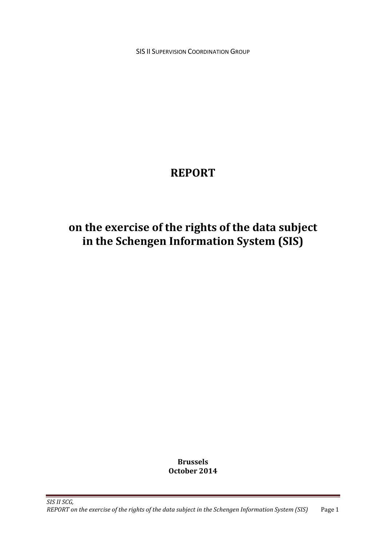**SIS II SUPERVISION COORDINATION GROUP** 

# **REPORT**

# **on the exercise of the rights of the data subject in the Schengen Information System (SIS)**

**Brussels October 2014**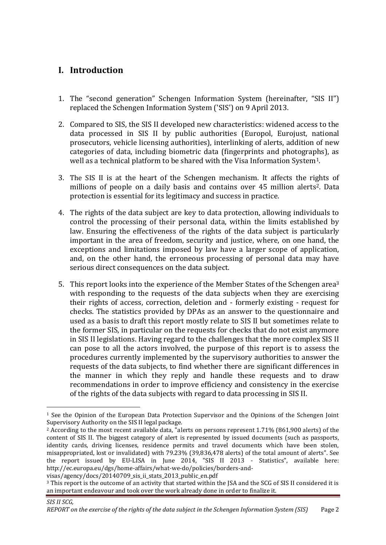# **I. Introduction**

- 1. The "second generation" Schengen Information System (hereinafter, "SIS II") replaced the Schengen Information System ('SIS') on 9 April 2013.
- 2. Compared to SIS, the SIS II developed new characteristics: widened access to the data processed in SIS II by public authorities (Europol, Eurojust, national prosecutors, vehicle licensing authorities), interlinking of alerts, addition of new categories of data, including biometric data (fingerprints and photographs), as well as a technical platform to be shared with the Visa Information System<sup>1</sup>.
- 3. The SIS II is at the heart of the Schengen mechanism. It affects the rights of millions of people on a daily basis and contains over 45 million alerts<sup>2</sup>. Data protection is essential for its legitimacy and success in practice.
- 4. The rights of the data subject are key to data protection, allowing individuals to control the processing of their personal data, within the limits established by law. Ensuring the effectiveness of the rights of the data subject is particularly important in the area of freedom, security and justice, where, on one hand, the exceptions and limitations imposed by law have a larger scope of application, and, on the other hand, the erroneous processing of personal data may have serious direct consequences on the data subject.
- 5. This report looks into the experience of the Member States of the Schengen area<sup>3</sup> with responding to the requests of the data subjects when they are exercising their rights of access, correction, deletion and - formerly existing - request for checks. The statistics provided by DPAs as an answer to the questionnaire and used as a basis to draft this report mostly relate to SIS II but sometimes relate to the former SIS, in particular on the requests for checks that do not exist anymore in SIS II legislations. Having regard to the challenges that the more complex SIS II can pose to all the actors involved, the purpose of this report is to assess the procedures currently implemented by the supervisory authorities to answer the requests of the data subjects, to find whether there are significant differences in the manner in which they reply and handle these requests and to draw recommendations in order to improve efficiency and consistency in the exercise of the rights of the data subjects with regard to data processing in SIS II.

<sup>1</sup> See the Opinion of the European Data Protection Supervisor and the Opinions of the Schengen Joint Supervisory Authority on the SIS II legal package.

<sup>2</sup> According to the most recent available data, "alerts on persons represent 1.71% (861,900 alerts) of the content of SIS II. The biggest category of alert is represented by issued documents (such as passports, identity cards, driving licenses, residence permits and travel documents which have been stolen, misappropriated, lost or invalidated) with 79.23% (39,836,478 alerts) of the total amount of alerts". See the report issued by EU-LISA in June 2014, "SIS II 2013 - Statistics", available here: http://ec.europa.eu/dgs/home-affairs/what-we-do/policies/borders-and-

visas/agency/docs/20140709\_sis\_ii\_stats\_2013\_public\_en.pdf

<sup>3</sup> This report is the outcome of an activity that started within the JSA and the SCG of SIS II considered it is an important endeavour and took over the work already done in order to finalize it.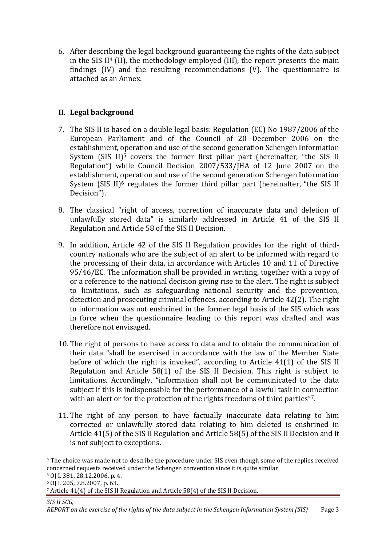6. After describing the legal background guaranteeing the rights of the data subject in the SIS II $4$  (II), the methodology employed (III), the report presents the main findings (IV) and the resulting recommendations (V). The questionnaire is attached as an Annex.

## **II. Legal background**

- 7. The SIS II is based on a double legal basis: Regulation (EC) No 1987/2006 of the European Parliament and of the Council of 20 December 2006 on the establishment, operation and use of the second generation Schengen Information System  $(SIS II)<sup>5</sup>$  covers the former first pillar part (hereinafter, "the SIS II Regulation") while Council Decision 2007/533/JHA of 12 June 2007 on the establishment, operation and use of the second generation Schengen Information System (SIS II)<sup>6</sup> regulates the former third pillar part (hereinafter, "the SIS II Decision").
- 8. The classical "right of access, correction of inaccurate data and deletion of unlawfully stored data" is similarly addressed in Article 41 of the SIS II Regulation and Article 58 of the SIS II Decision.
- 9. In addition, Article 42 of the SIS II Regulation provides for the right of thirdcountry nationals who are the subject of an alert to be informed with regard to the processing of their data, in accordance with Articles 10 and 11 of Directive 95/46/EC. The information shall be provided in writing, together with a copy of or a reference to the national decision giving rise to the alert. The right is subject to limitations, such as safeguarding national security and the prevention, detection and prosecuting criminal offences, according to Article 42(2). The right to information was not enshrined in the former legal basis of the SIS which was in force when the questionnaire leading to this report was drafted and was therefore not envisaged.
- 10. The right of persons to have access to data and to obtain the communication of their data "shall be exercised in accordance with the law of the Member State before of which the right is invoked", according to Article 41(1) of the SIS II Regulation and Article 58(1) of the SIS II Decision. This right is subject to limitations. Accordingly, "information shall not be communicated to the data subject if this is indispensable for the performance of a lawful task in connection with an alert or for the protection of the rights freedoms of third parties"7.
- 11. The right of any person to have factually inaccurate data relating to him corrected or unlawfully stored data relating to him deleted is enshrined in Article 41(5) of the SIS II Regulation and Article 58(5) of the SIS II Decision and it is not subject to exceptions.

<sup>4</sup> The choice was made not to describe the procedure under SIS even though some of the replies received concerned requests received under the Schengen convention since it is quite similar

<sup>5</sup> OJ L 381, 28.12.2006, p. 4.

<sup>6</sup> OJ L 205, 7.8.2007, p. 63.

<sup>7</sup> Article 41(4) of the SIS II Regulation and Article 58(4) of the SIS II Decision.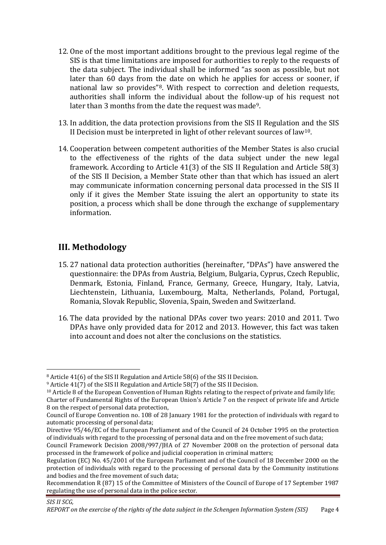- 12. One of the most important additions brought to the previous legal regime of the SIS is that time limitations are imposed for authorities to reply to the requests of the data subject. The individual shall be informed "as soon as possible, but not later than 60 days from the date on which he applies for access or sooner, if national law so provides"8. With respect to correction and deletion requests, authorities shall inform the individual about the follow-up of his request not later than 3 months from the date the request was made<sup>9</sup>.
- 13. In addition, the data protection provisions from the SIS II Regulation and the SIS II Decision must be interpreted in light of other relevant sources of law<sup>10</sup>.
- 14. Cooperation between competent authorities of the Member States is also crucial to the effectiveness of the rights of the data subject under the new legal framework. According to Article 41(3) of the SIS II Regulation and Article 58(3) of the SIS II Decision, a Member State other than that which has issued an alert may communicate information concerning personal data processed in the SIS II only if it gives the Member State issuing the alert an opportunity to state its position, a process which shall be done through the exchange of supplementary information.

# **III. Methodology**

- 15. 27 national data protection authorities (hereinafter, "DPAs") have answered the questionnaire: the DPAs from Austria, Belgium, Bulgaria, Cyprus, Czech Republic, Denmark, Estonia, Finland, France, Germany, Greece, Hungary, Italy, Latvia, Liechtenstein, Lithuania, Luxembourg, Malta, Netherlands, Poland, Portugal, Romania, Slovak Republic, Slovenia, Spain, Sweden and Switzerland.
- 16. The data provided by the national DPAs cover two years: 2010 and 2011. Two DPAs have only provided data for 2012 and 2013. However, this fact was taken into account and does not alter the conclusions on the statistics.

<sup>8</sup> Article 41(6) of the SIS II Regulation and Article 58(6) of the SIS II Decision.

<sup>9</sup> Article 41(7) of the SIS II Regulation and Article 58(7) of the SIS II Decision.

<sup>10</sup> Article 8 of the European Convention of Human Rights relating to the respect of private and family life; Charter of Fundamental Rights of the European Union's Article 7 on the respect of private life and Article

<sup>8</sup> on the respect of personal data protection, Council of Europe Convention no. 108 of 28 January 1981 for the protection of individuals with regard to automatic processing of personal data;

Directive 95/46/EC of the European Parliament and of the Council of 24 October 1995 on the protection of individuals with regard to the processing of personal data and on the free movement of such data;

Council Framework Decision 2008/997/JHA of 27 November 2008 on the protection of personal data processed in the framework of police and judicial cooperation in criminal matters;

Regulation (EC) No. 45/2001 of the European Parliament and of the Council of 18 December 2000 on the protection of individuals with regard to the processing of personal data by the Community institutions and bodies and the free movement of such data;

Recommendation R (87) 15 of the Committee of Ministers of the Council of Europe of 17 September 1987 regulating the use of personal data in the police sector.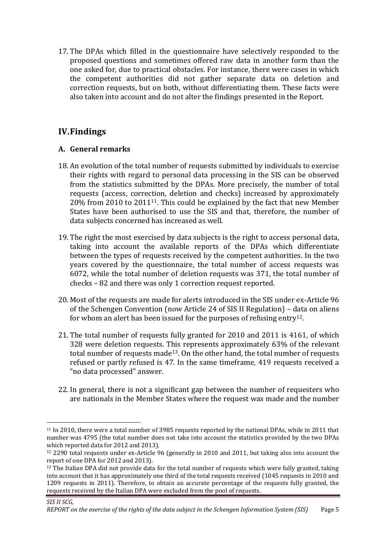17. The DPAs which filled in the questionnaire have selectively responded to the proposed questions and sometimes offered raw data in another form than the one asked for, due to practical obstacles. For instance, there were cases in which the competent authorities did not gather separate data on deletion and correction requests, but on both, without differentiating them. These facts were also taken into account and do not alter the findings presented in the Report.

# **IV.Findings**

1

## **A. General remarks**

- 18. An evolution of the total number of requests submitted by individuals to exercise their rights with regard to personal data processing in the SIS can be observed from the statistics submitted by the DPAs. More precisely, the number of total requests (access, correction, deletion and checks) increased by approximately 20% from 2010 to 201111. This could be explained by the fact that new Member States have been authorised to use the SIS and that, therefore, the number of data subjects concerned has increased as well.
- 19. The right the most exercised by data subjects is the right to access personal data, taking into account the available reports of the DPAs which differentiate between the types of requests received by the competent authorities. In the two years covered by the questionnaire, the total number of access requests was 6072, while the total number of deletion requests was 371, the total number of checks – 82 and there was only 1 correction request reported.
- 20. Most of the requests are made for alerts introduced in the SIS under ex-Article 96 of the Schengen Convention (now Article 24 of SIS II Regulation) – data on aliens for whom an alert has been issued for the purposes of refusing entry<sup>12</sup>.
- 21. The total number of requests fully granted for 2010 and 2011 is 4161, of which 328 were deletion requests. This represents approximately 63% of the relevant total number of requests made<sup>13</sup>. On the other hand, the total number of requests refused or partly refused is 47. In the same timeframe, 419 requests received a "no data processed" answer.
- 22. In general, there is not a significant gap between the number of requesters who are nationals in the Member States where the request was made and the number

<sup>11</sup> In 2010, there were a total number of 3985 requests reported by the national DPAs, while in 2011 that number was 4795 (the total number does not take into account the statistics provided by the two DPAs which reported data for 2012 and 2013).

<sup>12</sup> 2290 total requests under ex-Article 96 (generally in 2010 and 2011, but taking also into account the report of one DPA for 2012 and 2013).

<sup>&</sup>lt;sup>13</sup> The Italian DPA did not provide data for the total number of requests which were fully granted, taking into account that it has approximately one third of the total requests received (1045 requests in 2010 and 1209 requests in 2011). Therefore, to obtain an accurate percentage of the requests fully granted, the requests received by the Italian DPA were excluded from the pool of requests.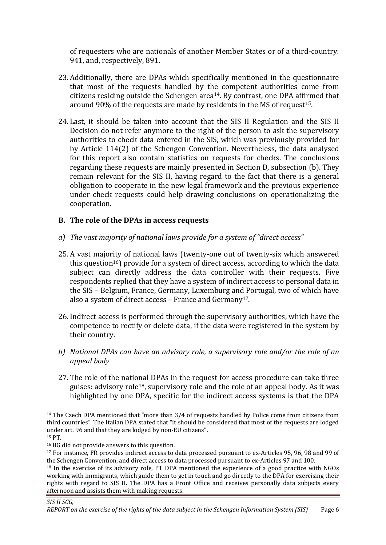of requesters who are nationals of another Member States or of a third-country: 941, and, respectively, 891.

- 23. Additionally, there are DPAs which specifically mentioned in the questionnaire that most of the requests handled by the competent authorities come from citizens residing outside the Schengen area14. By contrast, one DPA affirmed that around 90% of the requests are made by residents in the MS of request<sup>15</sup>.
- 24. Last, it should be taken into account that the SIS II Regulation and the SIS II Decision do not refer anymore to the right of the person to ask the supervisory authorities to check data entered in the SIS, which was previously provided for by Article 114(2) of the Schengen Convention. Nevertheless, the data analysed for this report also contain statistics on requests for checks. The conclusions regarding these requests are mainly presented in Section D, subsection (b). They remain relevant for the SIS II, having regard to the fact that there is a general obligation to cooperate in the new legal framework and the previous experience under check requests could help drawing conclusions on operationalizing the cooperation.

## **B. The role of the DPAs in access requests**

- *a) The vast majority of national laws provide for a system of "direct access"*
- 25. A vast majority of national laws (twenty-one out of twenty-six which answered this question<sup>16</sup>) provide for a system of direct access, according to which the data subject can directly address the data controller with their requests. Five respondents replied that they have a system of indirect access to personal data in the SIS – Belgium, France, Germany, Luxemburg and Portugal, two of which have also a system of direct access – France and Germany17.
- 26. Indirect access is performed through the supervisory authorities, which have the competence to rectify or delete data, if the data were registered in the system by their country.
- *b) National DPAs can have an advisory role, a supervisory role and/or the role of an appeal body*
- 27. The role of the national DPAs in the request for access procedure can take three guises: advisory role<sup>18</sup>, supervisory role and the role of an appeal body. As it was highlighted by one DPA, specific for the indirect access systems is that the DPA

<sup>15</sup> PT.

<sup>14</sup> The Czech DPA mentioned that "more than 3/4 of requests handled by Police come from citizens from third countries". The Italian DPA stated that "it should be considered that most of the requests are lodged under art. 96 and that they are lodged by non-EU citizens".

<sup>16</sup> BG did not provide answers to this question.

<sup>17</sup> For instance, FR provides indirect access to data processed pursuant to ex-Articles 95, 96, 98 and 99 of the Schengen Convention, and direct access to data processed pursuant to ex-Articles 97 and 100.

<sup>&</sup>lt;sup>18</sup> In the exercise of its advisory role, PT DPA mentioned the experience of a good practice with NGOs working with immigrants, which guide them to get in touch and go directly to the DPA for exercising their rights with regard to SIS II. The DPA has a Front Office and receives personally data subjects every afternoon and assists them with making requests.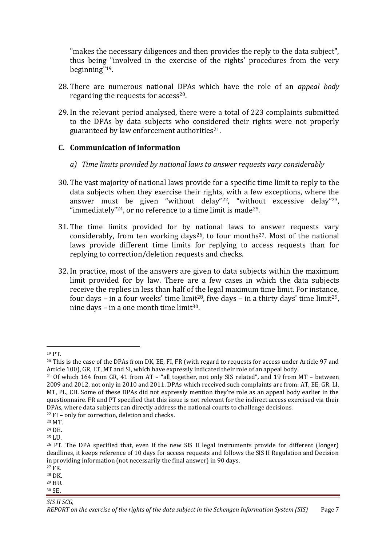"makes the necessary diligences and then provides the reply to the data subject", thus being "involved in the exercise of the rights' procedures from the very beginning"19.

- 28. There are numerous national DPAs which have the role of an *appeal body* regarding the requests for access<sup>20</sup>.
- 29. In the relevant period analysed, there were a total of 223 complaints submitted to the DPAs by data subjects who considered their rights were not properly guaranteed by law enforcement authorities $21$ .

## **C. Communication of information**

- *a) Time limits provided by national laws to answer requests vary considerably*
- 30. The vast majority of national laws provide for a specific time limit to reply to the data subjects when they exercise their rights, with a few exceptions, where the answer must be given "without delay"22, "without excessive delay"23, "immediately"<sup>24</sup>, or no reference to a time limit is made<sup>25</sup>.
- 31. The time limits provided for by national laws to answer requests vary considerably, from ten working days<sup>26</sup>, to four months<sup>27</sup>. Most of the national laws provide different time limits for replying to access requests than for replying to correction/deletion requests and checks.
- 32. In practice, most of the answers are given to data subjects within the maximum limit provided for by law. There are a few cases in which the data subjects receive the replies in less than half of the legal maximum time limit. For instance, four days – in a four weeks' time limit<sup>28</sup>, five days – in a thirty days' time limit<sup>29</sup>, nine days – in a one month time limit<sup>30</sup>.

<sup>19</sup> PT.

<sup>&</sup>lt;sup>20</sup> This is the case of the DPAs from DK, EE, FI, FR (with regard to requests for access under Article 97 and Article 100), GR, LT, MT and SI, which have expressly indicated their role of an appeal body.

<sup>21</sup> Of which 164 from GR, 41 from AT – "all together, not only SIS related", and 19 from MT – between 2009 and 2012, not only in 2010 and 2011. DPAs which received such complaints are from: AT, EE, GR, LI, MT, PL, CH. Some of these DPAs did not expressly mention they're role as an appeal body earlier in the questionnaire. FR and PT specified that this issue is not relevant for the indirect access exercised via their DPAs, where data subjects can directly address the national courts to challenge decisions.

<sup>22</sup> FI – only for correction, deletion and checks.

<sup>23</sup> MT.

<sup>24</sup> DE.

<sup>25</sup> LU.

<sup>26</sup> PT. The DPA specified that, even if the new SIS II legal instruments provide for different (longer) deadlines, it keeps reference of 10 days for access requests and follows the SIS II Regulation and Decision in providing information (not necessarily the final answer) in 90 days.

<sup>27</sup> FR.

<sup>28</sup> DK. <sup>29</sup> HU.

<sup>30</sup> SE.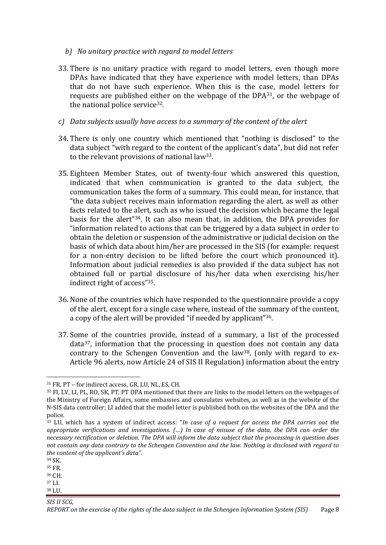- *b) No unitary practice with regard to model letters*
- 33. There is no unitary practice with regard to model letters, even though more DPAs have indicated that they have experience with model letters, than DPAs that do not have such experience. When this is the case, model letters for requests are published either on the webpage of the DPA31, or the webpage of the national police service<sup>32</sup>.
- *c) Data subjects usually have access to a summary of the content of the alert*
- 34. There is only one country which mentioned that "nothing is disclosed" to the data subject "with regard to the content of the applicant's data", but did not refer to the relevant provisions of national law33.
- 35. Eighteen Member States, out of twenty-four which answered this question, indicated that when communication is granted to the data subject, the communication takes the form of a summary. This could mean, for instance, that "the data subject receives main information regarding the alert, as well as other facts related to the alert, such as who issued the decision which became the legal basis for the alert"34. It can also mean that, in addition, the DPA provides for "information related to actions that can be triggered by a data subject in order to obtain the deletion or suspension of the administrative or judicial decision on the basis of which data about him/her are processed in the SIS (for example: request for a non-entry decision to be lifted before the court which pronounced it). Information about judicial remedies is also provided if the data subject has not obtained full or partial disclosure of his/her data when exercising his/her indirect right of access"35.
- 36. None of the countries which have responded to the questionnaire provide a copy of the alert, except for a single case where, instead of the summary of the content, a copy of the alert will be provided "if needed by applicant"36.
- 37. Some of the countries provide, instead of a summary, a list of the processed data37, information that the processing in question does not contain any data contrary to the Schengen Convention and the law38, (only with regard to ex-Article 96 alerts, now Article 24 of SIS II Regulation) information about the entry

1

- <sup>36</sup> CH.
- <sup>37</sup> LI. <sup>38</sup> LU.

<sup>31</sup> FR, PT – for indirect access, GR, LU, NL, ES, CH.

<sup>32</sup> FI, LV, LI, PL, RO, SK, PT. PT DPA mentioned that there are links to the model letters on the webpages of the Ministry of Foreign Affairs, some embassies and consulates websites, as well as in the website of the N-SIS data controller; LI added that the model letter is published both on the websites of the DPA and the police.

<sup>33</sup> LU, which has a system of indirect access: "*In case of a request for access the DPA carries out the appropriate verifications and investigations. (…) In case of misuse of the data, the DPA can order the necessary rectification or deletion. The DPA will inform the data subject that the processing in question does not contain any data contrary to the Schengen Convention and the law. Nothing is disclosed with regard to the content of the applicant's data".*

<sup>34</sup> SK.

<sup>35</sup> FR.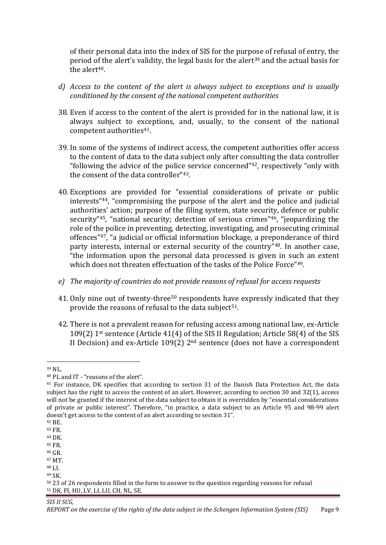of their personal data into the index of SIS for the purpose of refusal of entry, the period of the alert's validity, the legal basis for the alert<sup>39</sup> and the actual basis for the alert<sup>40</sup>.

- *d) Access to the content of the alert is always subject to exceptions and is usually conditioned by the consent of the national competent authorities*
- 38. Even if access to the content of the alert is provided for in the national law, it is always subject to exceptions, and, usually, to the consent of the national competent authorities<sup>41</sup>.
- 39. In some of the systems of indirect access, the competent authorities offer access to the content of data to the data subject only after consulting the data controller "following the advice of the police service concerned"42, respectively "only with the consent of the data controller"43.
- 40. Exceptions are provided for "essential considerations of private or public interests"44, "compromising the purpose of the alert and the police and judicial authorities' action; purpose of the filing system, state security, defence or public security"45, "national security; detection of serious crimes"46, "jeopardizing the role of the police in preventing, detecting, investigating, and prosecuting criminal offences"47, "a judicial or official information blockage, a preponderance of third party interests, internal or external security of the country"48. In another case, "the information upon the personal data processed is given in such an extent which does not threaten effectuation of the tasks of the Police Force"<sup>49</sup>.
- *e) The majority of countries do not provide reasons of refusal for access requests*
- 41. Only nine out of twenty-three<sup>50</sup> respondents have expressly indicated that they provide the reasons of refusal to the data subject<sup>51</sup>.
- 42. There is not a prevalent reason for refusing access among national law, ex-Article 109(2) 1st sentence (Article 41(4) of the SIS II Regulation; Article 58(4) of the SIS II Decision) and ex-Article 109(2) 2nd sentence (does not have a correspondent

1

<sup>39</sup> NL.

<sup>40</sup> PL and IT - "reasons of the alert".

<sup>41</sup> For instance, DK specifies that according to section 31 of the Danish Data Protection Act, the data subject has the right to access the content of an alert. However, according to section 30 and 32(1), access will not be granted if the interest of the data subject to obtain it is overridden by "essential considerations of private or public interest". Therefore, "in practice, a data subject to an Article 95 and 98-99 alert doesn't get access to the content of an alert according to section 31".

<sup>42</sup> BE.

<sup>43</sup> FR.

<sup>44</sup> DK.

<sup>45</sup> FR. <sup>46</sup> GR.

<sup>47</sup> MT.

<sup>48</sup> LI.

<sup>49</sup> SK.

<sup>50</sup> 23 of 26 respondents filled in the form to answer to the question regarding reasons for refusal <sup>51</sup> DK, FI, HU, LV, LI, LU, CH, NL, SE.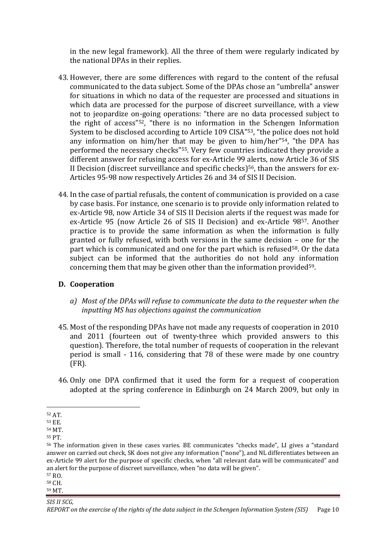in the new legal framework). All the three of them were regularly indicated by the national DPAs in their replies.

- 43. However, there are some differences with regard to the content of the refusal communicated to the data subject. Some of the DPAs chose an "umbrella" answer for situations in which no data of the requester are processed and situations in which data are processed for the purpose of discreet surveillance, with a view not to jeopardize on-going operations: "there are no data processed subject to the right of access"52, "there is no information in the Schengen Information System to be disclosed according to Article 109 CISA"53, "the police does not hold any information on him/her that may be given to him/her"54, "the DPA has performed the necessary checks"55. Very few countries indicated they provide a different answer for refusing access for ex-Article 99 alerts, now Article 36 of SIS II Decision (discreet surveillance and specific checks)<sup>56</sup>, than the answers for ex-Articles 95-98 now respectively Articles 26 and 34 of SIS II Decision.
- 44. In the case of partial refusals, the content of communication is provided on a case by case basis. For instance, one scenario is to provide only information related to ex-Article 98, now Article 34 of SIS II Decision alerts if the request was made for ex-Article 95 (now Article 26 of SIS II Decision) and ex-Article 9857. Another practice is to provide the same information as when the information is fully granted or fully refused, with both versions in the same decision – one for the part which is communicated and one for the part which is refused<sup>58</sup>. Or the data subject can be informed that the authorities do not hold any information concerning them that may be given other than the information provided59.

### **D. Cooperation**

- *a) Most of the DPAs will refuse to communicate the data to the requester when the inputting MS has objections against the communication*
- 45. Most of the responding DPAs have not made any requests of cooperation in 2010 and 2011 (fourteen out of twenty-three which provided answers to this question). Therefore, the total number of requests of cooperation in the relevant period is small - 116, considering that 78 of these were made by one country (FR).
- 46. Only one DPA confirmed that it used the form for a request of cooperation adopted at the spring conference in Edinburgh on 24 March 2009, but only in

1

<sup>52</sup> AT.

<sup>53</sup> EE.

<sup>54</sup> MT.

<sup>55</sup> PT.

<sup>56</sup> The information given in these cases varies. BE communicates "checks made", LI gives a "standard answer on carried out check, SK does not give any information ("none"), and NL differentiates between an ex-Article 99 alert for the purpose of specific checks, when "all relevant data will be communicated" and an alert for the purpose of discreet surveillance, when "no data will be given".

<sup>57</sup> RO.

<sup>58</sup> CH. <sup>59</sup> MT.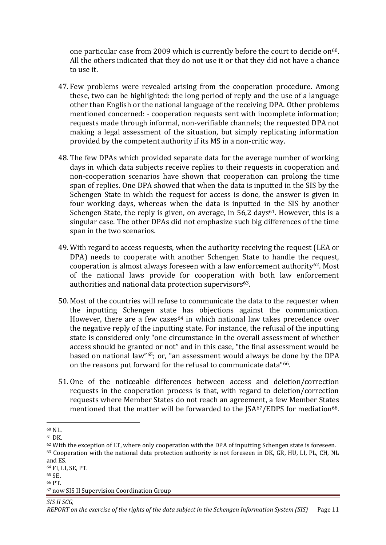one particular case from 2009 which is currently before the court to decide on $60$ . All the others indicated that they do not use it or that they did not have a chance to use it.

- 47. Few problems were revealed arising from the cooperation procedure. Among these, two can be highlighted: the long period of reply and the use of a language other than English or the national language of the receiving DPA. Other problems mentioned concerned: - cooperation requests sent with incomplete information; requests made through informal, non-verifiable channels; the requested DPA not making a legal assessment of the situation, but simply replicating information provided by the competent authority if its MS in a non-critic way.
- 48. The few DPAs which provided separate data for the average number of working days in which data subjects receive replies to their requests in cooperation and non-cooperation scenarios have shown that cooperation can prolong the time span of replies. One DPA showed that when the data is inputted in the SIS by the Schengen State in which the request for access is done, the answer is given in four working days, whereas when the data is inputted in the SIS by another Schengen State, the reply is given, on average, in  $56.2 \text{ days}^{61}$ . However, this is a singular case. The other DPAs did not emphasize such big differences of the time span in the two scenarios.
- 49. With regard to access requests, when the authority receiving the request (LEA or DPA) needs to cooperate with another Schengen State to handle the request, cooperation is almost always foreseen with a law enforcement authority62. Most of the national laws provide for cooperation with both law enforcement authorities and national data protection supervisors<sup>63</sup>.
- 50. Most of the countries will refuse to communicate the data to the requester when the inputting Schengen state has objections against the communication. However, there are a few cases<sup>64</sup> in which national law takes precedence over the negative reply of the inputting state. For instance, the refusal of the inputting state is considered only "one circumstance in the overall assessment of whether access should be granted or not" and in this case, "the final assessment would be based on national law"65; or, "an assessment would always be done by the DPA on the reasons put forward for the refusal to communicate data"66.
- 51. One of the noticeable differences between access and deletion/correction requests in the cooperation process is that, with regard to deletion/correction requests where Member States do not reach an agreement, a few Member States mentioned that the matter will be forwarded to the  $ISA<sup>67</sup>/EDPS$  for mediation<sup>68</sup>.

1

<sup>60</sup> NL.

<sup>61</sup> DK.

 $62$  With the exception of LT, where only cooperation with the DPA of inputting Schengen state is foreseen. <sup>63</sup> Cooperation with the national data protection authority is not foreseen in DK, GR, HU, LI, PL, CH, NL and ES.

<sup>64</sup> FI, LI, SE, PT.

<sup>65</sup> SE.

<sup>66</sup> PT.

<sup>67</sup> now SIS II Supervision Coordination Group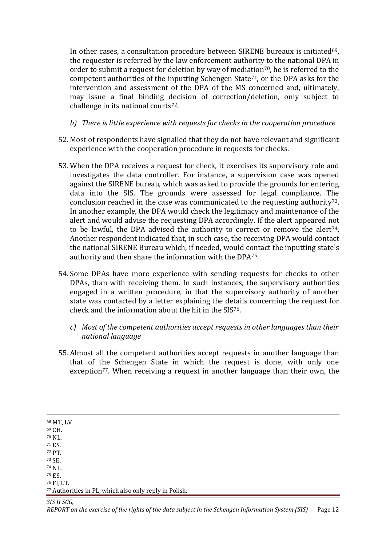In other cases, a consultation procedure between SIRENE bureaux is initiated $69$ , the requester is referred by the law enforcement authority to the national DPA in order to submit a request for deletion by way of mediation<sup>70</sup>, he is referred to the competent authorities of the inputting Schengen State71, or the DPA asks for the intervention and assessment of the DPA of the MS concerned and, ultimately, may issue a final binding decision of correction/deletion, only subject to challenge in its national courts72.

- *b) There is little experience with requests for checks in the cooperation procedure*
- 52. Most of respondents have signalled that they do not have relevant and significant experience with the cooperation procedure in requests for checks.
- 53. When the DPA receives a request for check, it exercises its supervisory role and investigates the data controller. For instance, a supervision case was opened against the SIRENE bureau, which was asked to provide the grounds for entering data into the SIS. The grounds were assessed for legal compliance. The conclusion reached in the case was communicated to the requesting authority<sup>73</sup>. In another example, the DPA would check the legitimacy and maintenance of the alert and would advise the requesting DPA accordingly. If the alert appeared not to be lawful, the DPA advised the authority to correct or remove the alert<sup>74</sup>. Another respondent indicated that, in such case, the receiving DPA would contact the national SIRENE Bureau which, if needed, would contact the inputting state's authority and then share the information with the DPA75.
- 54. Some DPAs have more experience with sending requests for checks to other DPAs, than with receiving them. In such instances, the supervisory authorities engaged in a written procedure, in that the supervisory authority of another state was contacted by a letter explaining the details concerning the request for check and the information about the hit in the SIS76.
	- *c) Most of the competent authorities accept requests in other languages than their national language*
- 55. Almost all the competent authorities accept requests in another language than that of the Schengen State in which the request is done, with only one exception<sup>77</sup>. When receiving a request in another language than their own, the

<sup>68</sup> MT, LV

<u>.</u>

<sup>69</sup> CH.

<sup>70</sup> NL.

<sup>71</sup> ES.

<sup>72</sup> PT.

<sup>73</sup> SE.

<sup>74</sup> NL.

<sup>75</sup> ES. <sup>76</sup> FI, LT.

<sup>77</sup> Authorities in PL, which also only reply in Polish.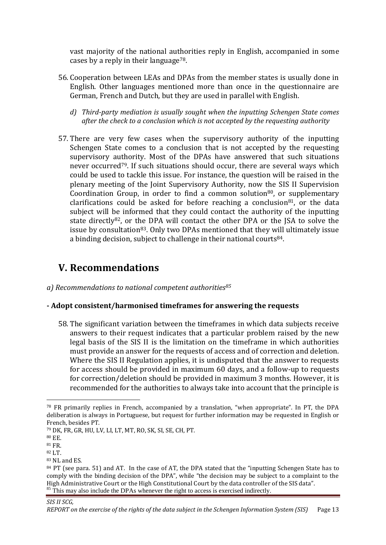vast majority of the national authorities reply in English, accompanied in some cases by a reply in their language<sup>78</sup>.

- 56. Cooperation between LEAs and DPAs from the member states is usually done in English. Other languages mentioned more than once in the questionnaire are German, French and Dutch, but they are used in parallel with English.
	- *d) Third-party mediation is usually sought when the inputting Schengen State comes after the check to a conclusion which is not accepted by the requesting authority*
- 57. There are very few cases when the supervisory authority of the inputting Schengen State comes to a conclusion that is not accepted by the requesting supervisory authority. Most of the DPAs have answered that such situations never occurred<sup>79</sup>. If such situations should occur, there are several ways which could be used to tackle this issue. For instance, the question will be raised in the plenary meeting of the Joint Supervisory Authority, now the SIS II Supervision Coordination Group, in order to find a common solution<sup>80</sup>, or supplementary clarifications could be asked for before reaching a conclusion<sup>81</sup>, or the data subject will be informed that they could contact the authority of the inputting state directly<sup>82</sup>, or the DPA will contact the other DPA or the JSA to solve the issue by consultation<sup>83</sup>. Only two DPAs mentioned that they will ultimately issue a binding decision, subject to challenge in their national courts  $84$ .

# **V. Recommendations**

*a) Recommendations to national competent authorities<sup>85</sup>*

### **- Adopt consistent/harmonised timeframes for answering the requests**

58. The significant variation between the timeframes in which data subjects receive answers to their request indicates that a particular problem raised by the new legal basis of the SIS II is the limitation on the timeframe in which authorities must provide an answer for the requests of access and of correction and deletion. Where the SIS II Regulation applies, it is undisputed that the answer to requests for access should be provided in maximum 60 days, and a follow-up to requests for correction/deletion should be provided in maximum 3 months. However, it is recommended for the authorities to always take into account that the principle is

<u>.</u>

<sup>78</sup> FR primarily replies in French, accompanied by a translation, "when appropriate". In PT, the DPA deliberation is always in Portuguese, but request for further information may be requested in English or French, besides PT.

<sup>79</sup> DK, FR, GR, HU, LV, LI, LT, MT, RO, SK, SI, SE, CH, PT.

<sup>80</sup> EE.

<sup>81</sup> FR.

<sup>82</sup> LT.

<sup>83</sup> NL and ES.

<sup>&</sup>lt;sup>84</sup> PT (see para. 51) and AT. In the case of AT, the DPA stated that the "inputting Schengen State has to comply with the binding decision of the DPA", while "the decision may be subject to a complaint to the High Administrative Court or the High Constitutional Court by the data controller of the SIS data". <sup>85</sup> This may also include the DPAs whenever the right to access is exercised indirectly.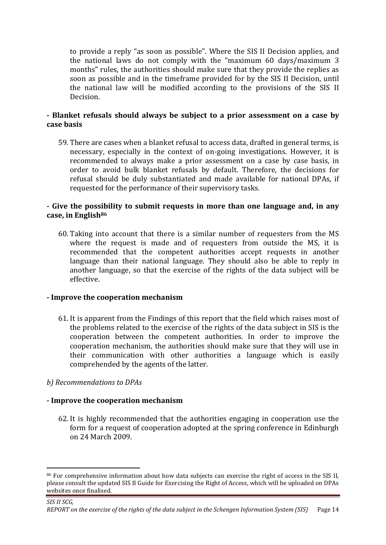to provide a reply "as soon as possible". Where the SIS II Decision applies, and the national laws do not comply with the "maximum 60 days/maximum 3 months" rules, the authorities should make sure that they provide the replies as soon as possible and in the timeframe provided for by the SIS II Decision, until the national law will be modified according to the provisions of the SIS II Decision.

### **- Blanket refusals should always be subject to a prior assessment on a case by case basis**

59. There are cases when a blanket refusal to access data, drafted in general terms, is necessary, especially in the context of on-going investigations. However, it is recommended to always make a prior assessment on a case by case basis, in order to avoid bulk blanket refusals by default. Therefore, the decisions for refusal should be duly substantiated and made available for national DPAs, if requested for the performance of their supervisory tasks.

### **- Give the possibility to submit requests in more than one language and, in any case, in English<sup>86</sup>**

60. Taking into account that there is a similar number of requesters from the MS where the request is made and of requesters from outside the MS, it is recommended that the competent authorities accept requests in another language than their national language. They should also be able to reply in another language, so that the exercise of the rights of the data subject will be effective.

### **- Improve the cooperation mechanism**

61. It is apparent from the Findings of this report that the field which raises most of the problems related to the exercise of the rights of the data subject in SIS is the cooperation between the competent authorities. In order to improve the cooperation mechanism, the authorities should make sure that they will use in their communication with other authorities a language which is easily comprehended by the agents of the latter.

### *b) Recommendations to DPAs*

1

### **- Improve the cooperation mechanism**

62. It is highly recommended that the authorities engaging in cooperation use the form for a request of cooperation adopted at the spring conference in Edinburgh on 24 March 2009.

<sup>86</sup> For comprehensive information about how data subjects can exercise the right of access in the SIS II, please consult the updated SIS II Guide for Exercising the Right of Access, which will be uploaded on DPAs websites once finalised.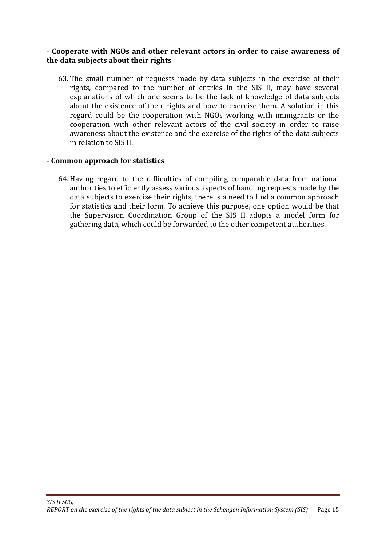## - **Cooperate with NGOs and other relevant actors in order to raise awareness of the data subjects about their rights**

63. The small number of requests made by data subjects in the exercise of their rights, compared to the number of entries in the SIS II, may have several explanations of which one seems to be the lack of knowledge of data subjects about the existence of their rights and how to exercise them. A solution in this regard could be the cooperation with NGOs working with immigrants or the cooperation with other relevant actors of the civil society in order to raise awareness about the existence and the exercise of the rights of the data subjects in relation to SIS II.

### **- Common approach for statistics**

64. Having regard to the difficulties of compiling comparable data from national authorities to efficiently assess various aspects of handling requests made by the data subjects to exercise their rights, there is a need to find a common approach for statistics and their form. To achieve this purpose, one option would be that the Supervision Coordination Group of the SIS II adopts a model form for gathering data, which could be forwarded to the other competent authorities.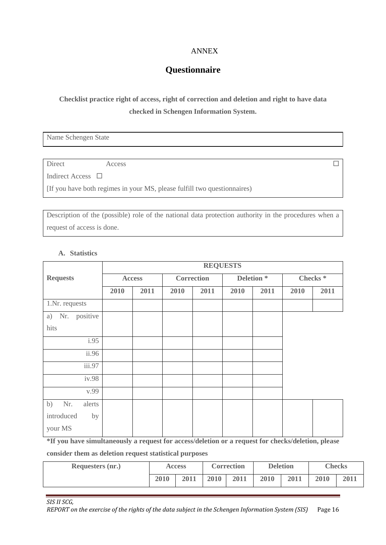#### ANNEX

# **Questionnaire**

# **Checklist practice right of access, right of correction and deletion and right to have data checked in Schengen Information System.**

Name Schengen State

Direct Access  $\Box$ 

Indirect Access □

[If you have both regimes in your MS, please fulfill two questionnaires)

Description of the (possible) role of the national data protection authority in the procedures when a request of access is done.

#### **A. Statistics**

|                           | <b>REQUESTS</b> |               |      |            |      |                       |      |                     |
|---------------------------|-----------------|---------------|------|------------|------|-----------------------|------|---------------------|
| <b>Requests</b>           |                 | <b>Access</b> |      | Correction |      | Deletion <sup>*</sup> |      | Checks <sup>*</sup> |
|                           | 2010            | 2011          | 2010 | 2011       | 2010 | 2011                  | 2010 | 2011                |
| 1.Nr. requests            |                 |               |      |            |      |                       |      |                     |
| Nr. positive<br>a)        |                 |               |      |            |      |                       |      |                     |
| hits                      |                 |               |      |            |      |                       |      |                     |
| i.95                      |                 |               |      |            |      |                       |      |                     |
| $\overline{\text{ii}}.96$ |                 |               |      |            |      |                       |      |                     |
| iii.97                    |                 |               |      |            |      |                       |      |                     |
| iv.98                     |                 |               |      |            |      |                       |      |                     |
| v.99                      |                 |               |      |            |      |                       |      |                     |
| b)<br>Nr.<br>alerts       |                 |               |      |            |      |                       |      |                     |
| introduced<br>by          |                 |               |      |            |      |                       |      |                     |
| your MS                   |                 |               |      |            |      |                       |      |                     |

**\*If you have simultaneously a request for access/deletion or a request for checks/deletion, please** 

**consider them as deletion request statistical purposes**

| <b>Requesters (nr.)</b> | <b>Access</b> |      | <b>Correction</b> |      | <b>Deletion</b> |      | <b>Checks</b> |      |
|-------------------------|---------------|------|-------------------|------|-----------------|------|---------------|------|
|                         | 2010          | 2011 | 2010              | 2011 | 2010            | 2011 | 2010          | 2011 |

*SIS II SCG, REPORT on the exercise of the rights of the data subject in the Schengen Information System (SIS)* Page 16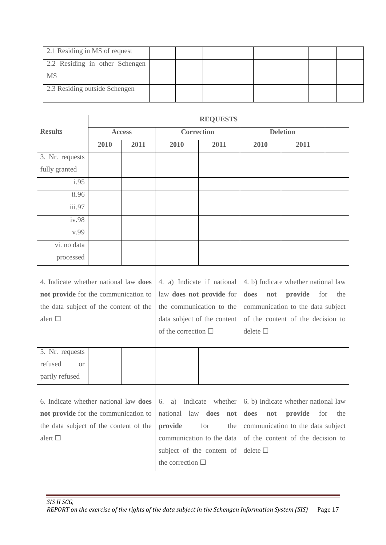| 2.1 Residing in MS of request  |  |  |  |  |
|--------------------------------|--|--|--|--|
| 2.2 Residing in other Schengen |  |  |  |  |
| <b>MS</b>                      |  |  |  |  |
| 2.3 Residing outside Schengen  |  |  |  |  |

|                                                                                                                                                                                     | <b>REQUESTS</b> |               |                             |                           |                                      |                                   |  |  |
|-------------------------------------------------------------------------------------------------------------------------------------------------------------------------------------|-----------------|---------------|-----------------------------|---------------------------|--------------------------------------|-----------------------------------|--|--|
| <b>Results</b>                                                                                                                                                                      |                 | <b>Access</b> |                             | <b>Correction</b>         |                                      | <b>Deletion</b>                   |  |  |
|                                                                                                                                                                                     | 2010            | 2011          | 2010                        | 2011                      | 2010                                 | 2011                              |  |  |
| 3. Nr. requests                                                                                                                                                                     |                 |               |                             |                           |                                      |                                   |  |  |
| fully granted                                                                                                                                                                       |                 |               |                             |                           |                                      |                                   |  |  |
| i.95                                                                                                                                                                                |                 |               |                             |                           |                                      |                                   |  |  |
| ii.96                                                                                                                                                                               |                 |               |                             |                           |                                      |                                   |  |  |
| iii.97                                                                                                                                                                              |                 |               |                             |                           |                                      |                                   |  |  |
| iv.98                                                                                                                                                                               |                 |               |                             |                           |                                      |                                   |  |  |
| v.99                                                                                                                                                                                |                 |               |                             |                           |                                      |                                   |  |  |
| vi. no data                                                                                                                                                                         |                 |               |                             |                           |                                      |                                   |  |  |
| processed                                                                                                                                                                           |                 |               |                             |                           |                                      |                                   |  |  |
| 4. Indicate whether national law does                                                                                                                                               |                 |               | 4. a) Indicate if national  |                           | 4. b) Indicate whether national law  |                                   |  |  |
| not provide for the communication to                                                                                                                                                |                 |               | law does not provide for    |                           | does<br>provide<br>not<br>for<br>the |                                   |  |  |
| the data subject of the content of the                                                                                                                                              |                 |               | the communication to the    |                           |                                      | communication to the data subject |  |  |
| alert $\square$                                                                                                                                                                     |                 |               | data subject of the content |                           |                                      | of the content of the decision to |  |  |
|                                                                                                                                                                                     |                 |               | of the correction $\Box$    |                           | delete $\square$                     |                                   |  |  |
|                                                                                                                                                                                     |                 |               |                             |                           |                                      |                                   |  |  |
| 5. Nr. requests                                                                                                                                                                     |                 |               |                             |                           |                                      |                                   |  |  |
| refused<br><b>or</b>                                                                                                                                                                |                 |               |                             |                           |                                      |                                   |  |  |
| partly refused                                                                                                                                                                      |                 |               |                             |                           |                                      |                                   |  |  |
|                                                                                                                                                                                     |                 |               |                             |                           |                                      |                                   |  |  |
| 6. Indicate whether national law <b>does</b> $\begin{bmatrix} 6 \\ 2 \\ 0 \end{bmatrix}$ Indicate whether $\begin{bmatrix} 6 \\ 6 \\ 0 \end{bmatrix}$ Indicate whether national law |                 |               |                             |                           |                                      |                                   |  |  |
| not provide for the communication to                                                                                                                                                |                 |               | national law does           | not                       | provide<br>does<br>not<br>for<br>the |                                   |  |  |
| the data subject of the content of the                                                                                                                                              |                 |               | provide                     | for<br>the                | communication to the data subject    |                                   |  |  |
| alert $\square$                                                                                                                                                                     |                 |               |                             | communication to the data | of the content of the decision to    |                                   |  |  |
|                                                                                                                                                                                     |                 |               |                             | subject of the content of | delete $\square$                     |                                   |  |  |
|                                                                                                                                                                                     |                 |               | the correction $\Box$       |                           |                                      |                                   |  |  |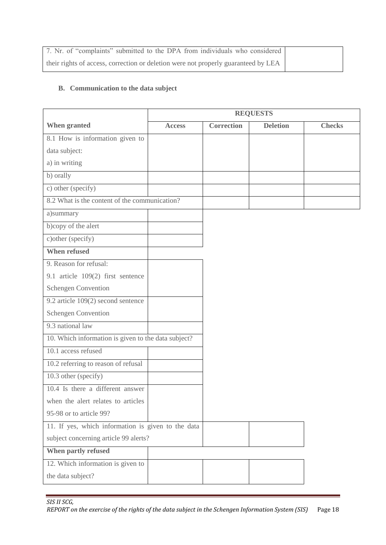| 7. Nr. of "complaints" submitted to the DPA from individuals who considered        |  |
|------------------------------------------------------------------------------------|--|
| their rights of access, correction or deletion were not properly guaranteed by LEA |  |

## **B. Communication to the data subject**

|                                                     |               | <b>REQUESTS</b>   |                 |               |
|-----------------------------------------------------|---------------|-------------------|-----------------|---------------|
| When granted                                        | <b>Access</b> | <b>Correction</b> | <b>Deletion</b> | <b>Checks</b> |
| 8.1 How is information given to                     |               |                   |                 |               |
| data subject:                                       |               |                   |                 |               |
| a) in writing                                       |               |                   |                 |               |
| b) orally                                           |               |                   |                 |               |
| c) other (specify)                                  |               |                   |                 |               |
| 8.2 What is the content of the communication?       |               |                   |                 |               |
| a)summary                                           |               |                   |                 |               |
| b)copy of the alert                                 |               |                   |                 |               |
| c) other (specify)                                  |               |                   |                 |               |
| <b>When refused</b>                                 |               |                   |                 |               |
| 9. Reason for refusal:                              |               |                   |                 |               |
| 9.1 article 109(2) first sentence                   |               |                   |                 |               |
| Schengen Convention                                 |               |                   |                 |               |
| 9.2 article 109(2) second sentence                  |               |                   |                 |               |
| Schengen Convention                                 |               |                   |                 |               |
| 9.3 national law                                    |               |                   |                 |               |
| 10. Which information is given to the data subject? |               |                   |                 |               |
| 10.1 access refused                                 |               |                   |                 |               |
| 10.2 referring to reason of refusal                 |               |                   |                 |               |
| 10.3 other (specify)                                |               |                   |                 |               |
| 10.4 Is there a different answer                    |               |                   |                 |               |
| when the alert relates to articles                  |               |                   |                 |               |
| 95-98 or to article 99?                             |               |                   |                 |               |
| 11. If yes, which information is given to the data  |               |                   |                 |               |
| subject concerning article 99 alerts?               |               |                   |                 |               |
| When partly refused                                 |               |                   |                 |               |
| 12. Which information is given to                   |               |                   |                 |               |
| the data subject?                                   |               |                   |                 |               |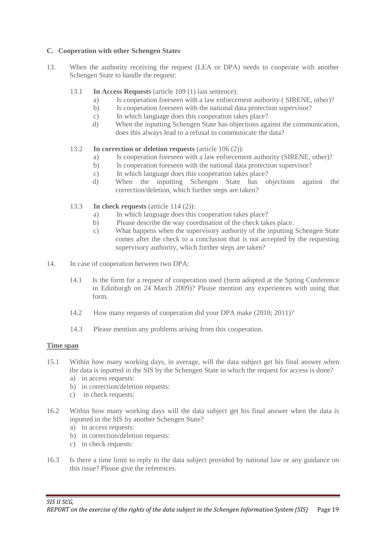#### **C. Cooperation with other Schengen States**

- 13. When the authority receiving the request (LEA or DPA) needs to cooperate with another Schengen State to handle the request:
	- 13.1 **In Access Requests** (article 109 (1) last sentence):
		- a) Is cooperation foreseen with a law enforcement authority ( SIRENE, other)?
		- b) Is cooperation foreseen with the national data protection supervisor?
		- c) In which language does this cooperation takes place?
		- d) When the inputting Schengen State has objections against the communication, does this always lead to a refusal to communicate the data?
	- 13.2 **In correction or deletion requests** (article 106 (2)):
		- a) Is cooperation foreseen with a law enforcement authority (SIRENE, other)?
		- b) Is cooperation foreseen with the national data protection supervisor?
		- c) In which language does this cooperation takes place?
		- d) When the inputting Schengen State has objections against the correction/deletion, which further steps are taken?
	- 13.3 **In check requests** (article 114 (2)):
		- a) In which language does this cooperation takes place?
		- b) Please describe the way coordination of the check takes place.
		- c) What happens when the supervisory authority of the inputting Schengen State comes after the check to a conclusion that is not accepted by the requesting supervisory authority, which further steps are taken?
- 14. In case of cooperation between two DPA:
	- 14.1 Is the form for a request of cooperation used (form adopted at the Spring Conference in Edinburgh on 24 March 2009)? Please mention any experiences with using that form.
	- 14.2 How many requests of cooperation did your DPA make (2010; 2011)?
	- 14.3 Please mention any problems arising from this cooperation.

#### **Time span**

- 15.1 Within how many working days, in average, will the data subject get his final answer when the data is inputted in the SIS by the Schengen State in which the request for access is done?
	- a) in access requests:
	- b) in correction/deletion requests:
	- c) in check requests:
- 16.2 Within how many working days will the data subject get his final answer when the data is inputted in the SIS by another Schengen State?
	- a) in access requests:
	- b) in correction/deletion requests:
	- c) in check requests:
- 16.3 Is there a time limit to reply to the data subject provided by national law or any guidance on this issue? Please give the references.